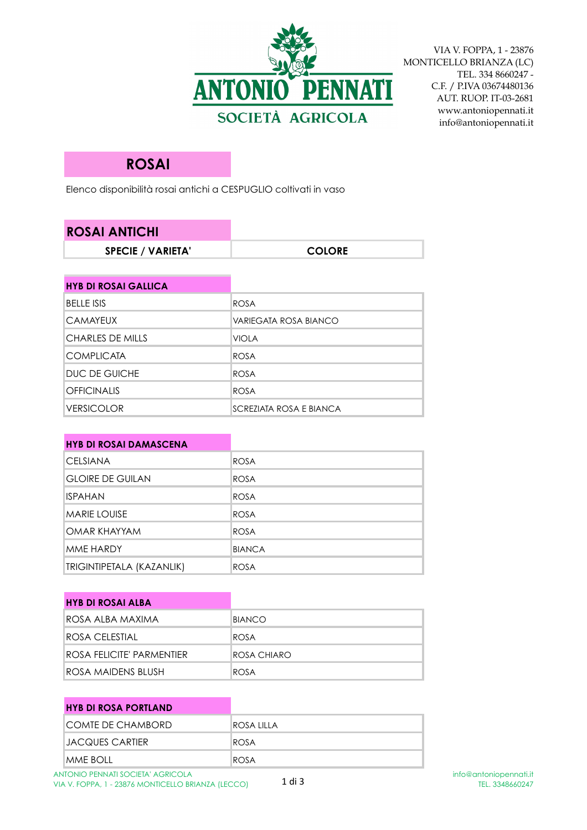

VIA V. FOPPA, 1 - 23876 MONTICELLO BRIANZA (LC) TEL. 334 8660247 - C.F. / P.IVA 03674480136 AUT. RUOP. IT-03-2681 www.antoniopennati.it info@antoniopennati.it

## **ROSAI**

DUC DE GUICHE ROSA OFFICINALIS ROSA

Elenco disponibilità rosai antichi a CESPUGLIO coltivati in vaso

| <b>ROSAI ANTICHI</b>        |                       |
|-----------------------------|-----------------------|
| <b>SPECIE / VARIETA'</b>    | <b>COLORE</b>         |
|                             |                       |
| <b>HYB DI ROSAI GALLICA</b> |                       |
| <b>BELLE ISIS</b>           | <b>ROSA</b>           |
| <b>CAMAYEUX</b>             | VARIEGATA ROSA BIANCO |
| <b>CHARLES DE MILLS</b>     | <b>VIOLA</b>          |
| <b>COMPLICATA</b>           | <b>ROSA</b>           |

| <b>VERSICOLOR</b>             | SCREZIATA ROSA E BIANCA |
|-------------------------------|-------------------------|
|                               |                         |
| <b>HYB DI ROSAI DAMASCENA</b> |                         |
| <b>CELSIANA</b>               | <b>ROSA</b>             |
| <b>GLOIRE DE GUILAN</b>       | <b>ROSA</b>             |
| <b>ISPAHAN</b>                | <b>ROSA</b>             |
| <b>MARIE LOUISE</b>           | <b>ROSA</b>             |
| OMAR KHAYYAM                  | <b>ROSA</b>             |
| MME HARDY                     | <b>BIANCA</b>           |
| TRIGINTIPETALA (KAZANLIK)     | <b>ROSA</b>             |

| <b>HYB DI ROSAI ALBA</b>  |               |
|---------------------------|---------------|
| ROSA ALBA MAXIMA          | <b>BIANCO</b> |
| IROSA CELESTIAL           | ROSA          |
| ROSA FELICITE' PARMENTIER | ROSA CHIARO   |
| IROSA MAIDENS BLUSH       | ROSA          |

| <b>HYB DI ROSA PORTLAND</b> |             |
|-----------------------------|-------------|
| <b>COMTE DE CHAMBORD</b>    | IROSA LILLA |
| IJACQUES CARTIER            | ROSA        |
| MME BOLL                    | ROSA        |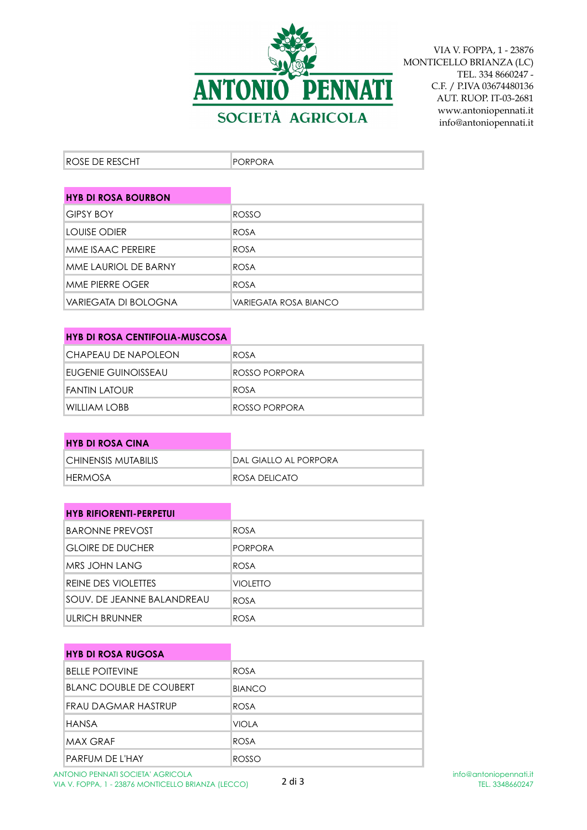

VIA V. FOPPA, 1 - 23876 MONTICELLO BRIANZA (LC) TEL. 334 8660247 - C.F. / P.IVA 03674480136 AUT. RUOP. IT-03-2681 www.antoniopennati.it info@antoniopennati.it

| <b>ROSE DE RESCHT</b><br>PORPORA |  |  |  |
|----------------------------------|--|--|--|
|----------------------------------|--|--|--|

| <b>HYB DI ROSA BOURBON</b> |                       |
|----------------------------|-----------------------|
| IGIPSY BOY                 | ROSSO                 |
| LOUISE ODIER               | ROSA                  |
| MMF ISAAC PFRFIRF          | ROSA                  |
| MME LAURIOL DE BARNY       | ROSA                  |
| MME PIERRE OGER            | ROSA                  |
| VARIEGATA DI BOLOGNA       | VARIEGATA ROSA BIANCO |

| <b>HYB DI ROSA CENTIFOLIA-MUSCOSA</b> |               |
|---------------------------------------|---------------|
| CHAPEAU DE NAPOLEON                   | <b>ROSA</b>   |
| EUGENIE GUINOISSEAU                   | ROSSO PORPORA |
| FANTIN LATOUR                         | ROSA          |
| WILLIAM LOBB                          | ROSSO PORPORA |

| <b>HYB DI ROSA CINA</b> |                        |
|-------------------------|------------------------|
| ICHINENSIS MUTABILIS    | IDAL GIALLO AL PORPORA |
| <b>IHERMOSA</b>         | ROSA DELICATO          |

| <b>HYB RIFIORENTI-PERPETUI</b> |                 |
|--------------------------------|-----------------|
| BARONNE PREVOST                | <b>ROSA</b>     |
| <b>GLOIRE DE DUCHER</b>        | <b>PORPORA</b>  |
| IMRS JOHN LANG                 | <b>ROSA</b>     |
| REINE DES VIOLETTES            | <b>VIOLETTO</b> |
| SOUV. DE JEANNE BALANDREAU     | <b>ROSA</b>     |
| IULRICH BRUNNER                | <b>ROSA</b>     |

| <b>HYB DI ROSA RUGOSA</b> |               |
|---------------------------|---------------|
| <b>BELLE POITEVINE</b>    | <b>ROSA</b>   |
| BLANC DOUBLE DE COUBERT   | <b>BIANCO</b> |
| FRAU DAGMAR HASTRUP       | <b>ROSA</b>   |
| HANSA                     | <b>VIOLA</b>  |
| <b>MAX GRAF</b>           | ROSA          |
| <b>PARFUM DE L'HAY</b>    | ROSSO         |